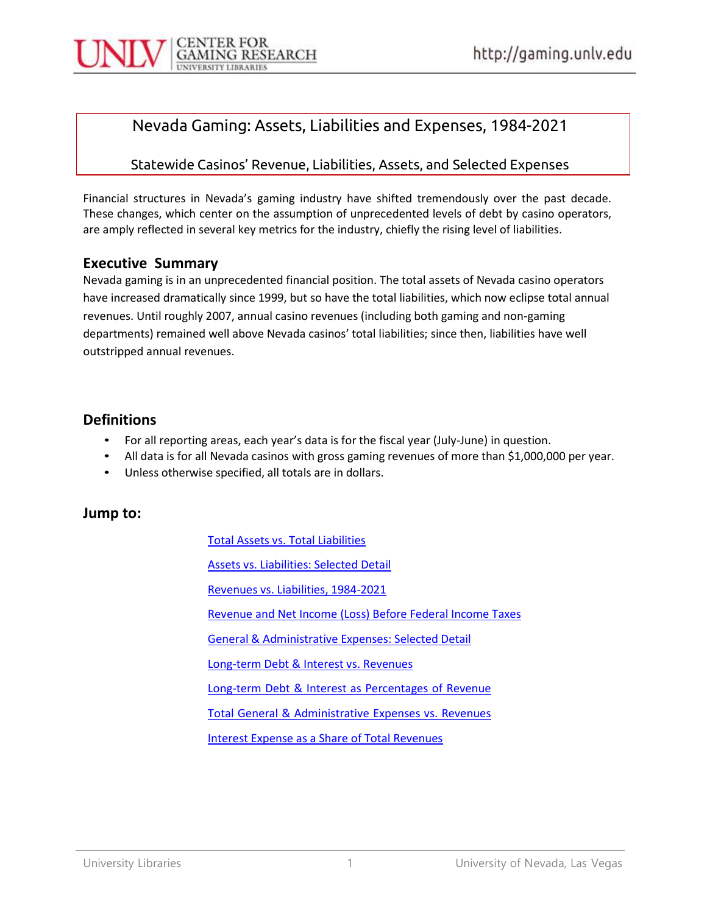## Nevada Gaming: Assets, Liabilities and Expenses, 1984-2021

#### Statewide Casinos' Revenue, Liabilities, Assets, and Selected Expenses

Financial structures in Nevada's gaming industry have shifted tremendously over the past decade. These changes, which center on the assumption of unprecedented levels of debt by casino operators, are amply reflected in several key metrics for the industry, chiefly the rising level of liabilities.

#### Executive Summary

Nevada gaming is in an unprecedented financial position. The total assets of Nevada casino operators have increased dramatically since 1999, but so have the total liabilities, which now eclipse total annual revenues. Until roughly 2007, annual casino revenues (including both gaming and non-gaming departments) remained well above Nevada casinos' total liabilities; since then, liabilities have well outstripped annual revenues.

### Definitions

- 
- For all reporting areas, each year's data is for the fiscal year (July-June) in question.<br>• All data is for all Nevada casinos with gross gaming revenues of more than \$1,000,000 per year.<br>• Unless otherwise specified, al
- 

### Jump to:

Total Assets vs. Total Liabilities Assets vs. Liabilities: Selected Detail Revenues vs. Liabilities, 1984-2021 Revenue and Net Income (Loss) Before Federal Income Taxes General & Administrative Expenses: Selected Detail Long-term Debt & Interest vs. Revenues Long-term Debt & Interest as Percentages of Revenue Total General & Administrative Expenses vs. Revenues Interest Expense as a Share of Total Revenues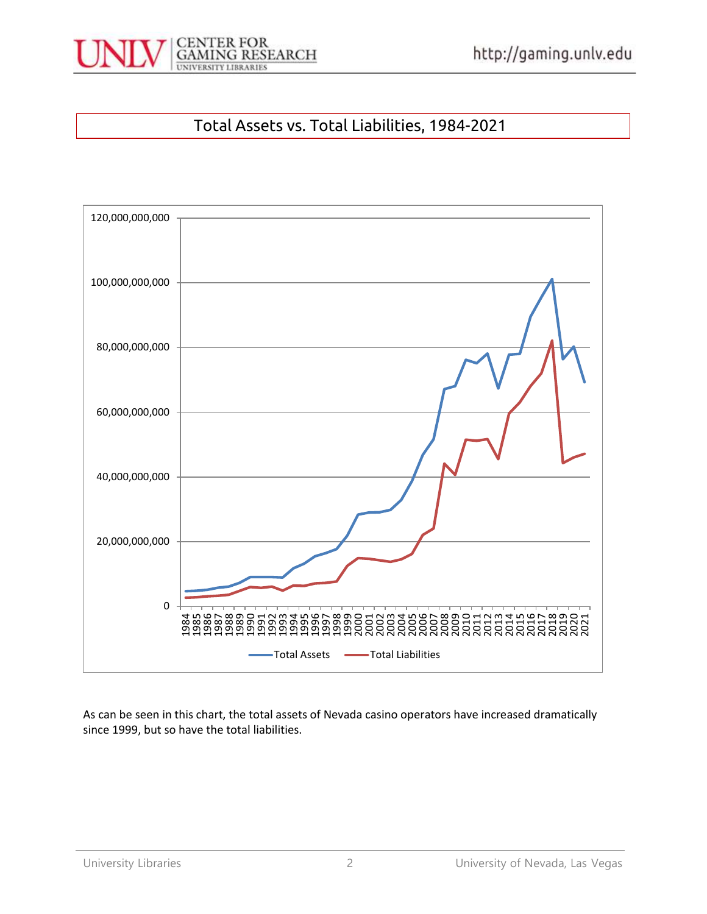

## Total Assets vs. Total Liabilities, 1984-2021



As can be seen in this chart, the total assets of Nevada casino operators have increased dramatically since 1999, but so have the total liabilities.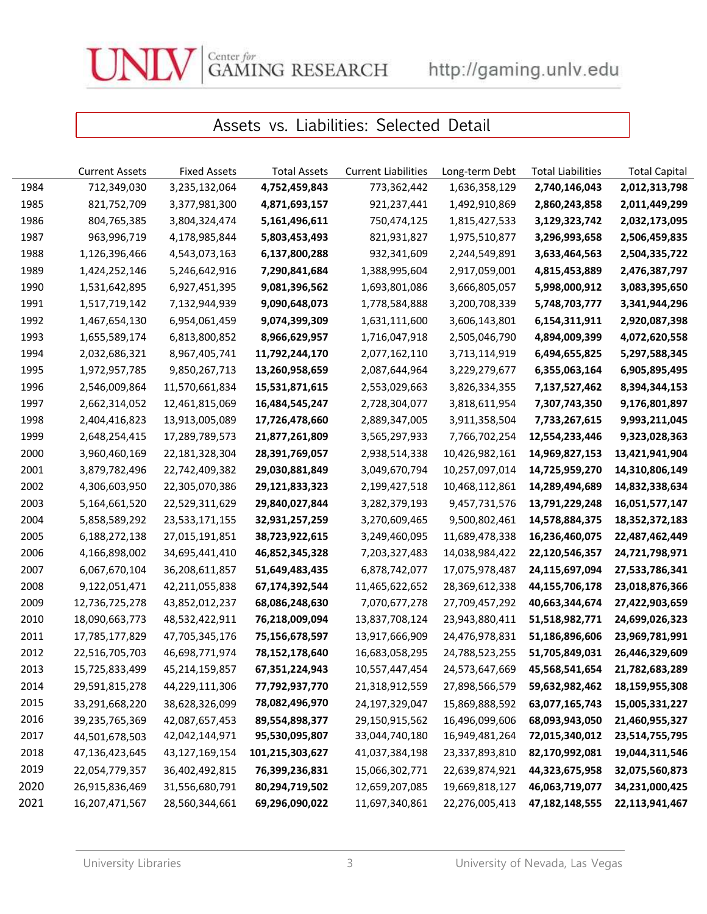$\begin{array}{lll} \textsc{Center for} \\ \text{GAMING RESEARCH} \end{array} \qquad \text{http://gaming.unlv.edu}$ 

# Assets vs. Liabilities: Selected Detail

|      | <b>Current Assets</b> | <b>Fixed Assets</b> | <b>Total Assets</b> | <b>Current Liabilities</b> | Long-term Debt | <b>Total Liabilities</b> | <b>Total Capital</b> |
|------|-----------------------|---------------------|---------------------|----------------------------|----------------|--------------------------|----------------------|
| 1984 | 712,349,030           | 3,235,132,064       | 4,752,459,843       | 773,362,442                | 1,636,358,129  | 2,740,146,043            | 2,012,313,798        |
| 1985 | 821,752,709           | 3,377,981,300       | 4,871,693,157       | 921,237,441                | 1,492,910,869  | 2,860,243,858            | 2,011,449,299        |
| 1986 | 804,765,385           | 3,804,324,474       | 5,161,496,611       | 750,474,125                | 1,815,427,533  | 3,129,323,742            | 2,032,173,095        |
| 1987 | 963,996,719           | 4,178,985,844       | 5,803,453,493       | 821,931,827                | 1,975,510,877  | 3,296,993,658            | 2,506,459,835        |
| 1988 | 1,126,396,466         | 4,543,073,163       | 6,137,800,288       | 932,341,609                | 2,244,549,891  | 3,633,464,563            | 2,504,335,722        |
| 1989 | 1,424,252,146         | 5,246,642,916       | 7,290,841,684       | 1,388,995,604              | 2,917,059,001  | 4,815,453,889            | 2,476,387,797        |
| 1990 | 1,531,642,895         | 6,927,451,395       | 9,081,396,562       | 1,693,801,086              | 3,666,805,057  | 5,998,000,912            | 3,083,395,650        |
| 1991 | 1,517,719,142         | 7,132,944,939       | 9,090,648,073       | 1,778,584,888              | 3,200,708,339  | 5,748,703,777            | 3,341,944,296        |
| 1992 | 1,467,654,130         | 6,954,061,459       | 9,074,399,309       | 1,631,111,600              | 3,606,143,801  | 6,154,311,911            | 2,920,087,398        |
| 1993 | 1,655,589,174         | 6,813,800,852       | 8,966,629,957       | 1,716,047,918              | 2,505,046,790  | 4,894,009,399            | 4,072,620,558        |
| 1994 | 2,032,686,321         | 8,967,405,741       | 11,792,244,170      | 2,077,162,110              | 3,713,114,919  | 6,494,655,825            | 5,297,588,345        |
| 1995 | 1,972,957,785         | 9,850,267,713       | 13,260,958,659      | 2,087,644,964              | 3,229,279,677  | 6,355,063,164            | 6,905,895,495        |
| 1996 | 2,546,009,864         | 11,570,661,834      | 15,531,871,615      | 2,553,029,663              | 3,826,334,355  | 7,137,527,462            | 8,394,344,153        |
| 1997 | 2,662,314,052         | 12,461,815,069      | 16,484,545,247      | 2,728,304,077              | 3,818,611,954  | 7,307,743,350            | 9,176,801,897        |
| 1998 | 2,404,416,823         | 13,913,005,089      | 17,726,478,660      | 2,889,347,005              | 3,911,358,504  | 7,733,267,615            | 9,993,211,045        |
| 1999 | 2,648,254,415         | 17,289,789,573      | 21,877,261,809      | 3,565,297,933              | 7,766,702,254  | 12,554,233,446           | 9,323,028,363        |
| 2000 | 3,960,460,169         | 22,181,328,304      | 28,391,769,057      | 2,938,514,338              | 10,426,982,161 | 14,969,827,153           | 13,421,941,904       |
| 2001 | 3,879,782,496         | 22,742,409,382      | 29,030,881,849      | 3,049,670,794              | 10,257,097,014 | 14,725,959,270           | 14,310,806,149       |
| 2002 | 4,306,603,950         | 22,305,070,386      | 29,121,833,323      | 2,199,427,518              | 10,468,112,861 | 14,289,494,689           | 14,832,338,634       |
| 2003 | 5,164,661,520         | 22,529,311,629      | 29,840,027,844      | 3,282,379,193              | 9,457,731,576  | 13,791,229,248           | 16,051,577,147       |
| 2004 | 5,858,589,292         | 23,533,171,155      | 32,931,257,259      | 3,270,609,465              | 9,500,802,461  | 14,578,884,375           | 18,352,372,183       |
| 2005 | 6,188,272,138         | 27,015,191,851      | 38,723,922,615      | 3,249,460,095              | 11,689,478,338 | 16,236,460,075           | 22,487,462,449       |
| 2006 | 4,166,898,002         | 34,695,441,410      | 46,852,345,328      | 7,203,327,483              | 14,038,984,422 | 22,120,546,357           | 24,721,798,971       |
| 2007 | 6,067,670,104         | 36,208,611,857      | 51,649,483,435      | 6,878,742,077              | 17,075,978,487 | 24,115,697,094           | 27,533,786,341       |
| 2008 | 9,122,051,471         | 42,211,055,838      | 67,174,392,544      | 11,465,622,652             | 28,369,612,338 | 44,155,706,178           | 23,018,876,366       |
| 2009 | 12,736,725,278        | 43,852,012,237      | 68,086,248,630      | 7,070,677,278              | 27,709,457,292 | 40,663,344,674           | 27,422,903,659       |
| 2010 | 18,090,663,773        | 48,532,422,911      | 76,218,009,094      | 13,837,708,124             | 23,943,880,411 | 51,518,982,771           | 24,699,026,323       |
| 2011 | 17,785,177,829        | 47,705,345,176      | 75,156,678,597      | 13,917,666,909             | 24,476,978,831 | 51,186,896,606           | 23,969,781,991       |
| 2012 | 22,516,705,703        | 46,698,771,974      | 78,152,178,640      | 16,683,058,295             | 24,788,523,255 | 51,705,849,031           | 26,446,329,609       |
| 2013 | 15,725,833,499        | 45,214,159,857      | 67,351,224,943      | 10,557,447,454             | 24,573,647,669 | 45,568,541,654           | 21,782,683,289       |
| 2014 | 29,591,815,278        | 44,229,111,306      | 77,792,937,770      | 21,318,912,559             | 27,898,566,579 | 59,632,982,462           | 18,159,955,308       |
| 2015 | 33,291,668,220        | 38,628,326,099      | 78,082,496,970      | 24,197,329,047             | 15,869,888,592 | 63,077,165,743           | 15,005,331,227       |
| 2016 | 39,235,765,369        | 42,087,657,453      | 89,554,898,377      | 29,150,915,562             | 16,496,099,606 | 68,093,943,050           | 21,460,955,327       |
| 2017 | 44,501,678,503        | 42,042,144,971      | 95,530,095,807      | 33,044,740,180             | 16,949,481,264 | 72,015,340,012           | 23,514,755,795       |
| 2018 | 47,136,423,645        | 43,127,169,154      | 101,215,303,627     | 41,037,384,198             | 23,337,893,810 | 82,170,992,081           | 19,044,311,546       |
| 2019 | 22,054,779,357        | 36,402,492,815      | 76,399,236,831      | 15,066,302,771             | 22,639,874,921 | 44,323,675,958           | 32,075,560,873       |
| 2020 | 26,915,836,469        | 31,556,680,791      | 80,294,719,502      | 12,659,207,085             | 19,669,818,127 | 46,063,719,077           | 34,231,000,425       |
| 2021 | 16,207,471,567        | 28,560,344,661      | 69,296,090,022      | 11,697,340,861             | 22,276,005,413 | 47,182,148,555           | 22,113,941,467       |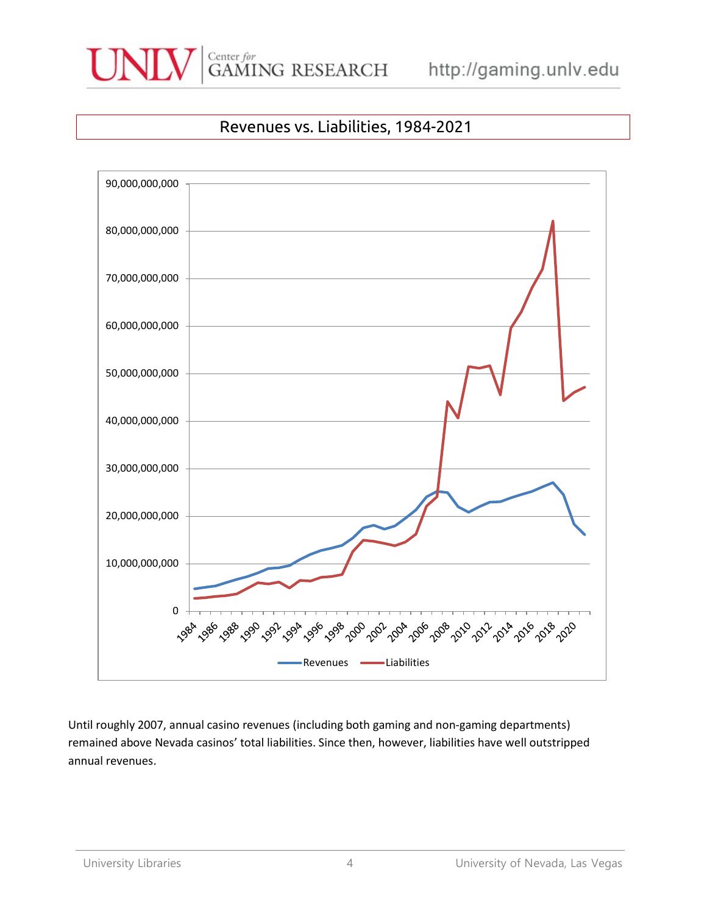



## Revenues vs. Liabilities, 1984-2021



Until roughly 2007, annual casino revenues (including both gaming and non-gaming departments) remained above Nevada casinos' total liabilities. Since then, however, liabilities have well outstripped annual revenues.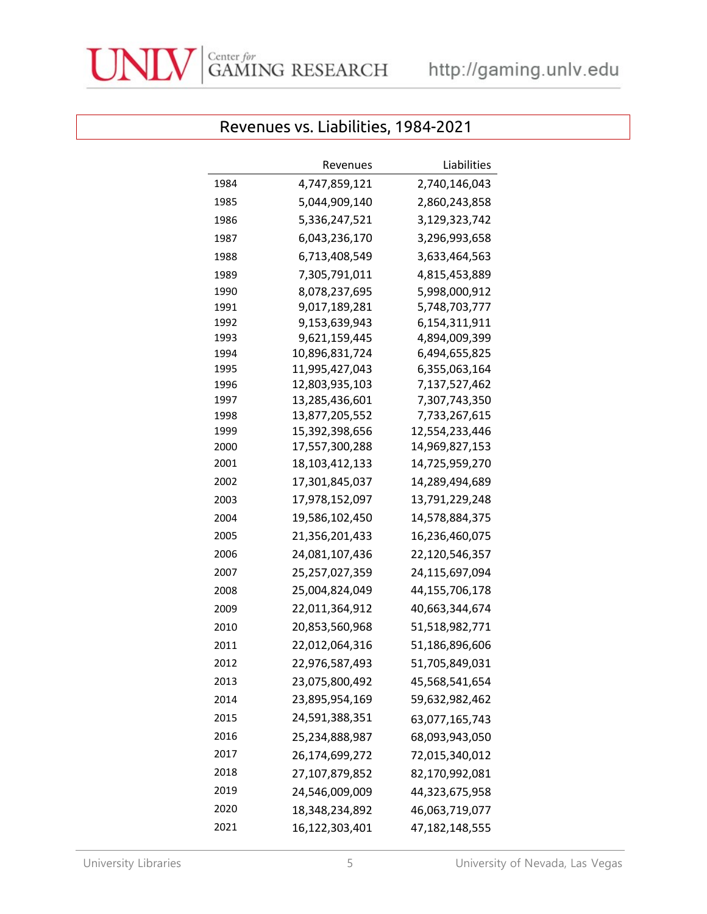

|              | Revenues                         | Liabilities                    |
|--------------|----------------------------------|--------------------------------|
| 1984         | 4,747,859,121                    | 2,740,146,043                  |
|              | 5,044,909,140                    |                                |
| 1985         |                                  | 2,860,243,858                  |
| 1986         | 5,336,247,521                    | 3,129,323,742                  |
| 1987         | 6,043,236,170                    | 3,296,993,658                  |
| 1988         | 6,713,408,549                    | 3,633,464,563                  |
| 1989         | 7,305,791,011                    | 4,815,453,889                  |
| 1990         | 8,078,237,695                    | 5,998,000,912                  |
| 1991         | 9,017,189,281                    | 5,748,703,777                  |
| 1992         | 9,153,639,943                    | 6,154,311,911                  |
| 1993         | 9,621,159,445                    | 4,894,009,399                  |
| 1994<br>1995 | 10,896,831,724                   | 6,494,655,825                  |
| 1996         | 11,995,427,043<br>12,803,935,103 | 6,355,063,164<br>7,137,527,462 |
| 1997         | 13,285,436,601                   | 7,307,743,350                  |
| 1998         | 13,877,205,552                   | 7,733,267,615                  |
| 1999         | 15,392,398,656                   | 12,554,233,446                 |
| 2000         | 17,557,300,288                   | 14,969,827,153                 |
| 2001         | 18,103,412,133                   | 14,725,959,270                 |
| 2002         | 17,301,845,037                   | 14,289,494,689                 |
| 2003         | 17,978,152,097                   | 13,791,229,248                 |
| 2004         | 19,586,102,450                   | 14,578,884,375                 |
| 2005         | 21,356,201,433                   | 16,236,460,075                 |
| 2006         | 24,081,107,436                   | 22,120,546,357                 |
| 2007         | 25,257,027,359                   | 24,115,697,094                 |
| 2008         | 25,004,824,049                   | 44,155,706,178                 |
| 2009         | 22,011,364,912                   | 40,663,344,674                 |
| 2010         | 20,853,560,968                   | 51,518,982,771                 |
| 2011         | 22,012,064,316                   | 51,186,896,606                 |
| 2012         | 22,976,587,493                   | 51,705,849,031                 |
| 2013         | 23,075,800,492                   | 45,568,541,654                 |
| 2014         | 23,895,954,169                   | 59,632,982,462                 |
| 2015         | 24,591,388,351                   | 63,077,165,743                 |
| 2016         | 25,234,888,987                   | 68,093,943,050                 |
| 2017         | 26,174,699,272                   | 72,015,340,012                 |
| 2018         | 27,107,879,852                   | 82,170,992,081                 |
| 2019         | 24,546,009,009                   | 44,323,675,958                 |
| 2020         | 18,348,234,892                   | 46,063,719,077                 |
| 2021         | 16,122,303,401                   | 47,182,148,555                 |

## Revenues vs. Liabilities, 1984-2021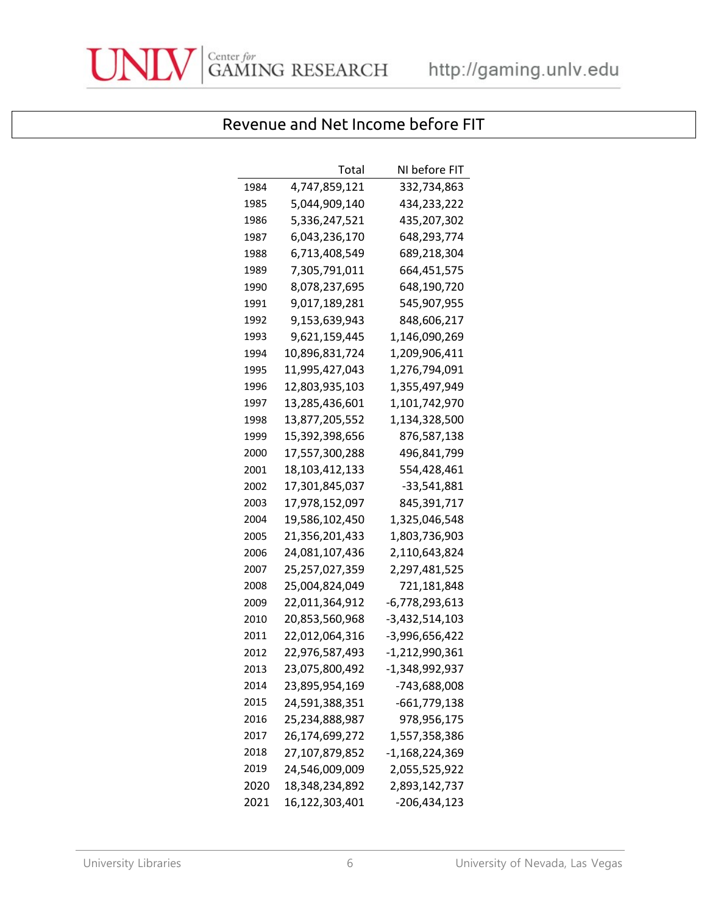

# Revenue and Net Income before FIT

|      | Total          | NI before FIT  |
|------|----------------|----------------|
| 1984 | 4,747,859,121  | 332,734,863    |
| 1985 | 5,044,909,140  | 434,233,222    |
| 1986 | 5,336,247,521  | 435,207,302    |
| 1987 | 6,043,236,170  | 648,293,774    |
| 1988 | 6,713,408,549  | 689,218,304    |
| 1989 | 7,305,791,011  | 664,451,575    |
| 1990 | 8,078,237,695  | 648,190,720    |
| 1991 | 9,017,189,281  | 545,907,955    |
| 1992 | 9,153,639,943  | 848,606,217    |
| 1993 | 9,621,159,445  | 1,146,090,269  |
| 1994 | 10,896,831,724 | 1,209,906,411  |
| 1995 | 11,995,427,043 | 1,276,794,091  |
| 1996 | 12,803,935,103 | 1,355,497,949  |
| 1997 | 13,285,436,601 | 1,101,742,970  |
| 1998 | 13,877,205,552 | 1,134,328,500  |
| 1999 | 15,392,398,656 | 876,587,138    |
| 2000 | 17,557,300,288 | 496,841,799    |
| 2001 | 18,103,412,133 | 554,428,461    |
| 2002 | 17,301,845,037 | -33,541,881    |
| 2003 | 17,978,152,097 | 845,391,717    |
| 2004 | 19,586,102,450 | 1,325,046,548  |
| 2005 | 21,356,201,433 | 1,803,736,903  |
| 2006 | 24,081,107,436 | 2,110,643,824  |
| 2007 | 25,257,027,359 | 2,297,481,525  |
| 2008 | 25,004,824,049 | 721,181,848    |
| 2009 | 22,011,364,912 | -6,778,293,613 |
| 2010 | 20,853,560,968 | -3,432,514,103 |
| 2011 | 22,012,064,316 | -3,996,656,422 |
| 2012 | 22,976,587,493 | -1,212,990,361 |
| 2013 | 23,075,800,492 | -1,348,992,937 |
| 2014 | 23,895,954,169 | -743,688,008   |
| 2015 | 24,591,388,351 | -661,779,138   |
| 2016 | 25,234,888,987 | 978,956,175    |
| 2017 | 26,174,699,272 | 1,557,358,386  |
| 2018 | 27,107,879,852 | -1,168,224,369 |
| 2019 | 24,546,009,009 | 2,055,525,922  |
| 2020 | 18,348,234,892 | 2,893,142,737  |
| 2021 | 16,122,303,401 | -206,434,123   |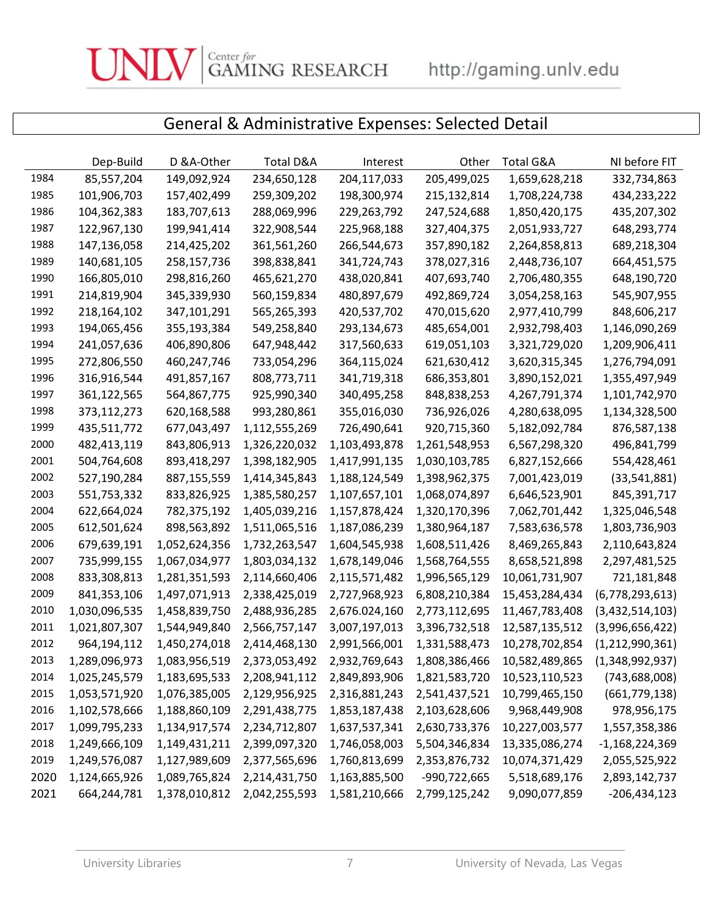Center for  $\overline{GANING}$  RESEARCH

# General & Administrative Expenses: Selected Detail

|      | Dep-Build     | D &A-Other    | Total D&A     | Interest      | Other         | Total G&A      | NI before FIT    |
|------|---------------|---------------|---------------|---------------|---------------|----------------|------------------|
| 1984 | 85,557,204    | 149,092,924   | 234,650,128   | 204,117,033   | 205,499,025   | 1,659,628,218  | 332,734,863      |
| 1985 | 101,906,703   | 157,402,499   | 259,309,202   | 198,300,974   | 215, 132, 814 | 1,708,224,738  | 434,233,222      |
| 1986 | 104,362,383   | 183,707,613   | 288,069,996   | 229,263,792   | 247,524,688   | 1,850,420,175  | 435,207,302      |
| 1987 | 122,967,130   | 199,941,414   | 322,908,544   | 225,968,188   | 327,404,375   | 2,051,933,727  | 648,293,774      |
| 1988 | 147,136,058   | 214,425,202   | 361,561,260   | 266,544,673   | 357,890,182   | 2,264,858,813  | 689,218,304      |
| 1989 | 140,681,105   | 258,157,736   | 398,838,841   | 341,724,743   | 378,027,316   | 2,448,736,107  | 664,451,575      |
| 1990 | 166,805,010   | 298,816,260   | 465,621,270   | 438,020,841   | 407,693,740   | 2,706,480,355  | 648,190,720      |
| 1991 | 214,819,904   | 345,339,930   | 560,159,834   | 480,897,679   | 492,869,724   | 3,054,258,163  | 545,907,955      |
| 1992 | 218,164,102   | 347,101,291   | 565,265,393   | 420,537,702   | 470,015,620   | 2,977,410,799  | 848,606,217      |
| 1993 | 194,065,456   | 355,193,384   | 549,258,840   | 293,134,673   | 485,654,001   | 2,932,798,403  | 1,146,090,269    |
| 1994 | 241,057,636   | 406,890,806   | 647,948,442   | 317,560,633   | 619,051,103   | 3,321,729,020  | 1,209,906,411    |
| 1995 | 272,806,550   | 460,247,746   | 733,054,296   | 364,115,024   | 621,630,412   | 3,620,315,345  | 1,276,794,091    |
| 1996 | 316,916,544   | 491,857,167   | 808,773,711   | 341,719,318   | 686,353,801   | 3,890,152,021  | 1,355,497,949    |
| 1997 | 361,122,565   | 564,867,775   | 925,990,340   | 340,495,258   | 848,838,253   | 4,267,791,374  | 1,101,742,970    |
| 1998 | 373,112,273   | 620,168,588   | 993,280,861   | 355,016,030   | 736,926,026   | 4,280,638,095  | 1,134,328,500    |
| 1999 | 435,511,772   | 677,043,497   | 1,112,555,269 | 726,490,641   | 920,715,360   | 5,182,092,784  | 876,587,138      |
| 2000 | 482,413,119   | 843,806,913   | 1,326,220,032 | 1,103,493,878 | 1,261,548,953 | 6,567,298,320  | 496,841,799      |
| 2001 | 504,764,608   | 893,418,297   | 1,398,182,905 | 1,417,991,135 | 1,030,103,785 | 6,827,152,666  | 554,428,461      |
| 2002 | 527,190,284   | 887,155,559   | 1,414,345,843 | 1,188,124,549 | 1,398,962,375 | 7,001,423,019  | (33, 541, 881)   |
| 2003 | 551,753,332   | 833,826,925   | 1,385,580,257 | 1,107,657,101 | 1,068,074,897 | 6,646,523,901  | 845,391,717      |
| 2004 | 622,664,024   | 782,375,192   | 1,405,039,216 | 1,157,878,424 | 1,320,170,396 | 7,062,701,442  | 1,325,046,548    |
| 2005 | 612,501,624   | 898,563,892   | 1,511,065,516 | 1,187,086,239 | 1,380,964,187 | 7,583,636,578  | 1,803,736,903    |
| 2006 | 679,639,191   | 1,052,624,356 | 1,732,263,547 | 1,604,545,938 | 1,608,511,426 | 8,469,265,843  | 2,110,643,824    |
| 2007 | 735,999,155   | 1,067,034,977 | 1,803,034,132 | 1,678,149,046 | 1,568,764,555 | 8,658,521,898  | 2,297,481,525    |
| 2008 | 833,308,813   | 1,281,351,593 | 2,114,660,406 | 2,115,571,482 | 1,996,565,129 | 10,061,731,907 | 721,181,848      |
| 2009 | 841,353,106   | 1,497,071,913 | 2,338,425,019 | 2,727,968,923 | 6,808,210,384 | 15,453,284,434 | (6,778,293,613)  |
| 2010 | 1,030,096,535 | 1,458,839,750 | 2,488,936,285 | 2,676.024,160 | 2,773,112,695 | 11,467,783,408 | (3,432,514,103)  |
| 2011 | 1,021,807,307 | 1,544,949,840 | 2,566,757,147 | 3,007,197,013 | 3,396,732,518 | 12,587,135,512 | (3,996,656,422)  |
| 2012 | 964,194,112   | 1,450,274,018 | 2,414,468,130 | 2,991,566,001 | 1,331,588,473 | 10,278,702,854 | (1,212,990,361)  |
| 2013 | 1,289,096,973 | 1,083,956,519 | 2,373,053,492 | 2,932,769,643 | 1,808,386,466 | 10,582,489,865 | (1,348,992,937)  |
| 2014 | 1,025,245,579 | 1,183,695,533 | 2,208,941,112 | 2,849,893,906 | 1,821,583,720 | 10,523,110,523 | (743, 688, 008)  |
| 2015 | 1,053,571,920 | 1,076,385,005 | 2,129,956,925 | 2,316,881,243 | 2,541,437,521 | 10,799,465,150 | (661, 779, 138)  |
| 2016 | 1,102,578,666 | 1,188,860,109 | 2,291,438,775 | 1,853,187,438 | 2,103,628,606 | 9,968,449,908  | 978,956,175      |
| 2017 | 1,099,795,233 | 1,134,917,574 | 2,234,712,807 | 1,637,537,341 | 2,630,733,376 | 10,227,003,577 | 1,557,358,386    |
| 2018 | 1,249,666,109 | 1,149,431,211 | 2,399,097,320 | 1,746,058,003 | 5,504,346,834 | 13,335,086,274 | $-1,168,224,369$ |
| 2019 | 1,249,576,087 | 1,127,989,609 | 2,377,565,696 | 1,760,813,699 | 2,353,876,732 | 10,074,371,429 | 2,055,525,922    |
| 2020 | 1,124,665,926 | 1,089,765,824 | 2,214,431,750 | 1,163,885,500 | -990,722,665  | 5,518,689,176  | 2,893,142,737    |
| 2021 | 664,244,781   | 1,378,010,812 | 2,042,255,593 | 1,581,210,666 | 2,799,125,242 | 9,090,077,859  | $-206,434,123$   |

UN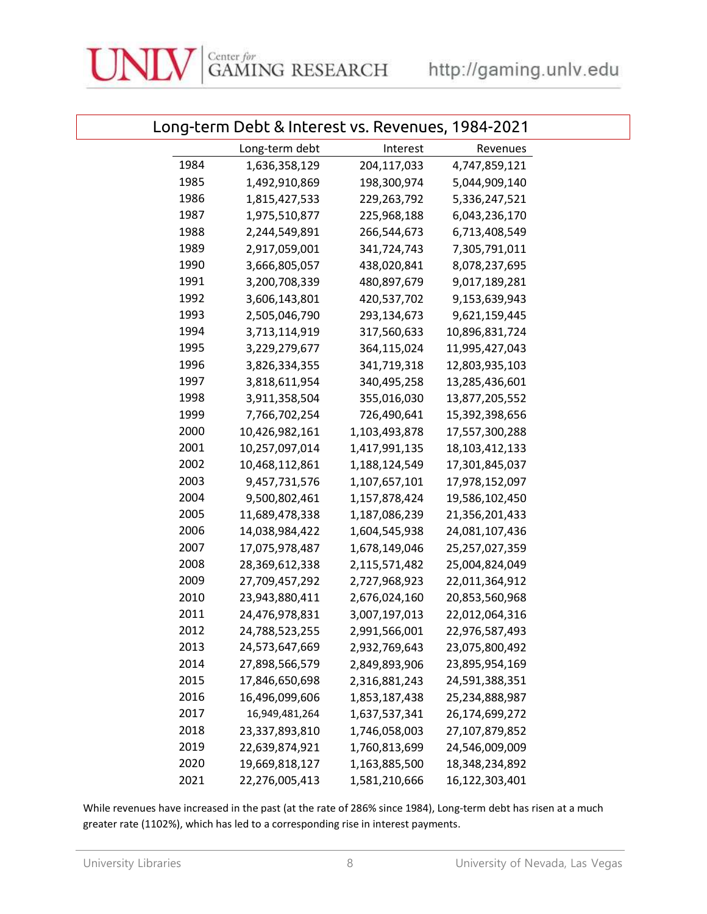### Long-term Debt & Interest vs. Revenues, 1984-2021

|      | Long-term debt | Interest      | Revenues       |  |
|------|----------------|---------------|----------------|--|
| 1984 | 1,636,358,129  | 204,117,033   | 4,747,859,121  |  |
| 1985 | 1,492,910,869  | 198,300,974   | 5,044,909,140  |  |
| 1986 | 1,815,427,533  | 229,263,792   | 5,336,247,521  |  |
| 1987 | 1,975,510,877  | 225,968,188   | 6,043,236,170  |  |
| 1988 | 2,244,549,891  | 266,544,673   | 6,713,408,549  |  |
| 1989 | 2,917,059,001  | 341,724,743   | 7,305,791,011  |  |
| 1990 | 3,666,805,057  | 438,020,841   | 8,078,237,695  |  |
| 1991 | 3,200,708,339  | 480,897,679   | 9,017,189,281  |  |
| 1992 | 3,606,143,801  | 420,537,702   | 9,153,639,943  |  |
| 1993 | 2,505,046,790  | 293,134,673   | 9,621,159,445  |  |
| 1994 | 3,713,114,919  | 317,560,633   | 10,896,831,724 |  |
| 1995 | 3,229,279,677  | 364,115,024   | 11,995,427,043 |  |
| 1996 | 3,826,334,355  | 341,719,318   | 12,803,935,103 |  |
| 1997 | 3,818,611,954  | 340,495,258   | 13,285,436,601 |  |
| 1998 | 3,911,358,504  | 355,016,030   | 13,877,205,552 |  |
| 1999 | 7,766,702,254  | 726,490,641   | 15,392,398,656 |  |
| 2000 | 10,426,982,161 | 1,103,493,878 | 17,557,300,288 |  |
| 2001 | 10,257,097,014 | 1,417,991,135 | 18,103,412,133 |  |
| 2002 | 10,468,112,861 | 1,188,124,549 | 17,301,845,037 |  |
| 2003 | 9,457,731,576  | 1,107,657,101 | 17,978,152,097 |  |
| 2004 | 9,500,802,461  | 1,157,878,424 | 19,586,102,450 |  |
| 2005 | 11,689,478,338 | 1,187,086,239 | 21,356,201,433 |  |
| 2006 | 14,038,984,422 | 1,604,545,938 | 24,081,107,436 |  |
| 2007 | 17,075,978,487 | 1,678,149,046 | 25,257,027,359 |  |
| 2008 | 28,369,612,338 | 2,115,571,482 | 25,004,824,049 |  |
| 2009 | 27,709,457,292 | 2,727,968,923 | 22,011,364,912 |  |
| 2010 | 23,943,880,411 | 2,676,024,160 | 20,853,560,968 |  |
| 2011 | 24,476,978,831 | 3,007,197,013 | 22,012,064,316 |  |
| 2012 | 24,788,523,255 | 2,991,566,001 | 22,976,587,493 |  |
| 2013 | 24,573,647,669 | 2,932,769,643 | 23,075,800,492 |  |
| 2014 | 27,898,566,579 | 2,849,893,906 | 23,895,954,169 |  |
| 2015 | 17,846,650,698 | 2,316,881,243 | 24,591,388,351 |  |
| 2016 | 16,496,099,606 | 1,853,187,438 | 25,234,888,987 |  |
| 2017 | 16,949,481,264 | 1,637,537,341 | 26,174,699,272 |  |
| 2018 | 23,337,893,810 | 1,746,058,003 | 27,107,879,852 |  |
| 2019 | 22,639,874,921 | 1,760,813,699 | 24,546,009,009 |  |
| 2020 | 19,669,818,127 | 1,163,885,500 | 18,348,234,892 |  |
| 2021 | 22,276,005,413 | 1,581,210,666 | 16,122,303,401 |  |

While revenues have increased in the past (at the rate of 286% since 1984), Long-term debt has risen at a much greater rate (1102%), which has led to a corresponding rise in interest payments.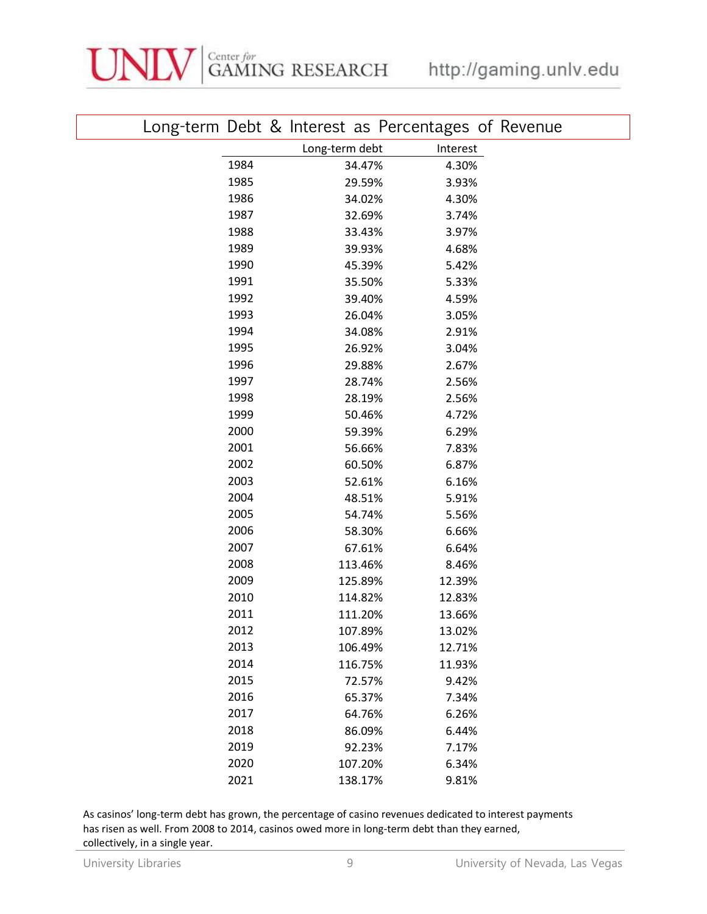|      |                | Long-term Debt & Interest as Percentages of Revenue |
|------|----------------|-----------------------------------------------------|
|      | Long-term debt | Interest                                            |
| 1984 | 34.47%         | 4.30%                                               |
| 1985 | 29.59%         | 3.93%                                               |
| 1986 | 34.02%         | 4.30%                                               |
| 1987 | 32.69%         | 3.74%                                               |
| 1988 | 33.43%         | 3.97%                                               |
| 1989 | 39.93%         | 4.68%                                               |
| 1990 | 45.39%         | 5.42%                                               |
| 1991 | 35.50%         | 5.33%                                               |
| 1992 | 39.40%         | 4.59%                                               |
| 1993 | 26.04%         | 3.05%                                               |
| 1994 | 34.08%         | 2.91%                                               |
| 1995 | 26.92%         | 3.04%                                               |
| 1996 | 29.88%         | 2.67%                                               |
| 1997 | 28.74%         | 2.56%                                               |
| 1998 | 28.19%         | 2.56%                                               |
| 1999 | 50.46%         | 4.72%                                               |
| 2000 | 59.39%         | 6.29%                                               |
| 2001 | 56.66%         | 7.83%                                               |
| 2002 | 60.50%         | 6.87%                                               |
| 2003 | 52.61%         | 6.16%                                               |
| 2004 | 48.51%         | 5.91%                                               |
| 2005 | 54.74%         | 5.56%                                               |
| 2006 | 58.30%         | 6.66%                                               |
| 2007 | 67.61%         | 6.64%                                               |
| 2008 | 113.46%        | 8.46%                                               |
| 2009 | 125.89%        | 12.39%                                              |
| 2010 | 114.82%        | 12.83%                                              |
| 2011 | 111.20%        | 13.66%                                              |
| 2012 | 107.89%        | 13.02%                                              |
| 2013 | 106.49%        | 12.71%                                              |
| 2014 | 116.75%        | 11.93%                                              |
| 2015 | 72.57%         | 9.42%                                               |
| 2016 | 65.37%         | 7.34%                                               |
| 2017 | 64.76%         | 6.26%                                               |
| 2018 | 86.09%         | 6.44%                                               |
| 2019 | 92.23%         | 7.17%                                               |
| 2020 | 107.20%        | 6.34%                                               |
| 2021 | 138.17%        | 9.81%                                               |

As casinos' long-term debt has grown, the percentage of casino revenues dedicated to interest payments has risen as well. From 2008 to 2014, casinos owed more in long-term debt than they earned, collectively, in a single year.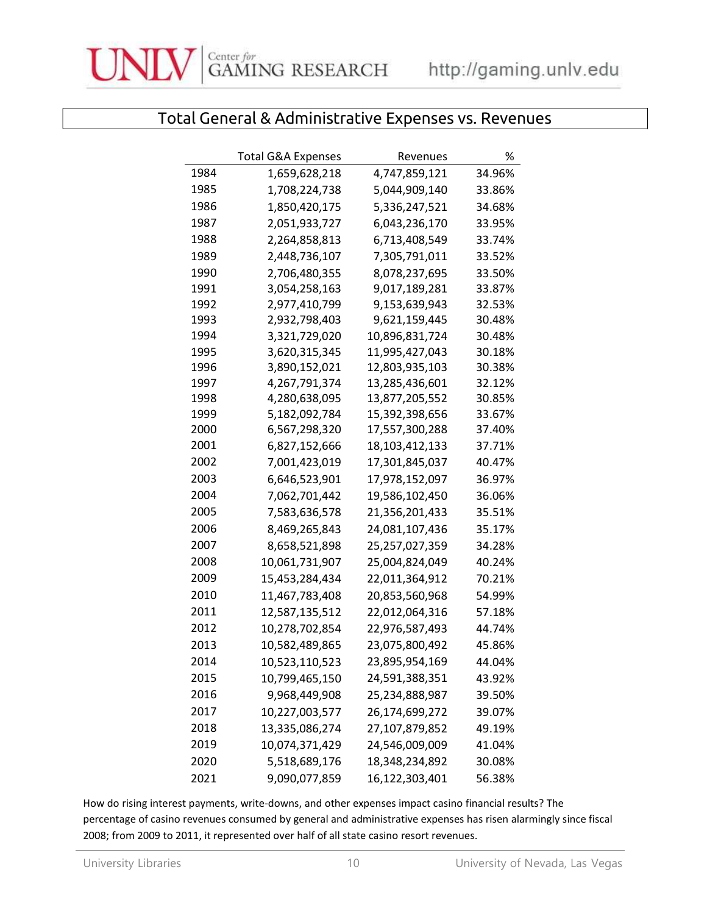

## Total General & Administrative Expenses vs. Revenues

|      | Total G&A Expenses | Revenues       | %      |
|------|--------------------|----------------|--------|
| 1984 | 1,659,628,218      | 4,747,859,121  | 34.96% |
| 1985 | 1,708,224,738      | 5,044,909,140  | 33.86% |
| 1986 | 1,850,420,175      | 5,336,247,521  | 34.68% |
| 1987 | 2,051,933,727      | 6,043,236,170  | 33.95% |
| 1988 | 2,264,858,813      | 6,713,408,549  | 33.74% |
| 1989 | 2,448,736,107      | 7,305,791,011  | 33.52% |
| 1990 | 2,706,480,355      | 8,078,237,695  | 33.50% |
| 1991 | 3,054,258,163      | 9,017,189,281  | 33.87% |
| 1992 | 2,977,410,799      | 9,153,639,943  | 32.53% |
| 1993 | 2,932,798,403      | 9,621,159,445  | 30.48% |
| 1994 | 3,321,729,020      | 10,896,831,724 | 30.48% |
| 1995 | 3,620,315,345      | 11,995,427,043 | 30.18% |
| 1996 | 3,890,152,021      | 12,803,935,103 | 30.38% |
| 1997 | 4,267,791,374      | 13,285,436,601 | 32.12% |
| 1998 | 4,280,638,095      | 13,877,205,552 | 30.85% |
| 1999 | 5,182,092,784      | 15,392,398,656 | 33.67% |
| 2000 | 6,567,298,320      | 17,557,300,288 | 37.40% |
| 2001 | 6,827,152,666      | 18,103,412,133 | 37.71% |
| 2002 | 7,001,423,019      | 17,301,845,037 | 40.47% |
| 2003 | 6,646,523,901      | 17,978,152,097 | 36.97% |
| 2004 | 7,062,701,442      | 19,586,102,450 | 36.06% |
| 2005 | 7,583,636,578      | 21,356,201,433 | 35.51% |
| 2006 | 8,469,265,843      | 24,081,107,436 | 35.17% |
| 2007 | 8,658,521,898      | 25,257,027,359 | 34.28% |
| 2008 | 10,061,731,907     | 25,004,824,049 | 40.24% |
| 2009 | 15,453,284,434     | 22,011,364,912 | 70.21% |
| 2010 | 11,467,783,408     | 20,853,560,968 | 54.99% |
| 2011 | 12,587,135,512     | 22,012,064,316 | 57.18% |
| 2012 | 10,278,702,854     | 22,976,587,493 | 44.74% |
| 2013 | 10,582,489,865     | 23,075,800,492 | 45.86% |
| 2014 | 10,523,110,523     | 23,895,954,169 | 44.04% |
| 2015 | 10,799,465,150     | 24,591,388,351 | 43.92% |
| 2016 | 9,968,449,908      | 25,234,888,987 | 39.50% |
| 2017 | 10,227,003,577     | 26,174,699,272 | 39.07% |
| 2018 | 13,335,086,274     | 27,107,879,852 | 49.19% |
| 2019 | 10,074,371,429     | 24,546,009,009 | 41.04% |
| 2020 | 5,518,689,176      | 18,348,234,892 | 30.08% |
| 2021 | 9,090,077,859      | 16,122,303,401 | 56.38% |

How do rising interest payments, write-downs, and other expenses impact casino financial results? The percentage of casino revenues consumed by general and administrative expenses has risen alarmingly since fiscal 2008; from 2009 to 2011, it represented over half of all state casino resort revenues.